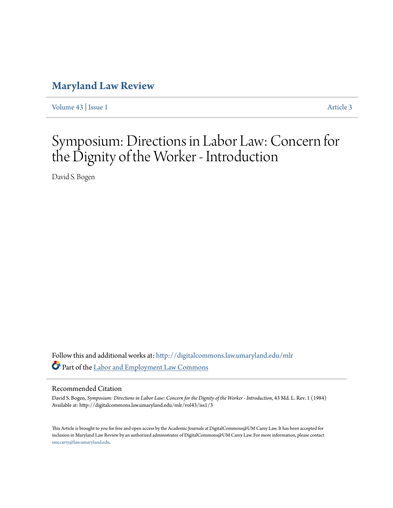### **[Maryland Law Review](http://digitalcommons.law.umaryland.edu/mlr?utm_source=digitalcommons.law.umaryland.edu%2Fmlr%2Fvol43%2Fiss1%2F3&utm_medium=PDF&utm_campaign=PDFCoverPages)**

[Volume 43](http://digitalcommons.law.umaryland.edu/mlr/vol43?utm_source=digitalcommons.law.umaryland.edu%2Fmlr%2Fvol43%2Fiss1%2F3&utm_medium=PDF&utm_campaign=PDFCoverPages) | [Issue 1](http://digitalcommons.law.umaryland.edu/mlr/vol43/iss1?utm_source=digitalcommons.law.umaryland.edu%2Fmlr%2Fvol43%2Fiss1%2F3&utm_medium=PDF&utm_campaign=PDFCoverPages) [Article 3](http://digitalcommons.law.umaryland.edu/mlr/vol43/iss1/3?utm_source=digitalcommons.law.umaryland.edu%2Fmlr%2Fvol43%2Fiss1%2F3&utm_medium=PDF&utm_campaign=PDFCoverPages)

## Symposium: Directions in Labor Law: Concern for the Dignity of the Worker - Introduction

David S. Bogen

Follow this and additional works at: [http://digitalcommons.law.umaryland.edu/mlr](http://digitalcommons.law.umaryland.edu/mlr?utm_source=digitalcommons.law.umaryland.edu%2Fmlr%2Fvol43%2Fiss1%2F3&utm_medium=PDF&utm_campaign=PDFCoverPages) Part of the [Labor and Employment Law Commons](http://network.bepress.com/hgg/discipline/909?utm_source=digitalcommons.law.umaryland.edu%2Fmlr%2Fvol43%2Fiss1%2F3&utm_medium=PDF&utm_campaign=PDFCoverPages)

#### Recommended Citation

David S. Bogen, *Symposium: Directions in Labor Law: Concern for the Dignity of the Worker - Introduction*, 43 Md. L. Rev. 1 (1984) Available at: http://digitalcommons.law.umaryland.edu/mlr/vol43/iss1/3

This Article is brought to you for free and open access by the Academic Journals at DigitalCommons@UM Carey Law. It has been accepted for inclusion in Maryland Law Review by an authorized administrator of DigitalCommons@UM Carey Law. For more information, please contact [smccarty@law.umaryland.edu.](mailto:smccarty@law.umaryland.edu)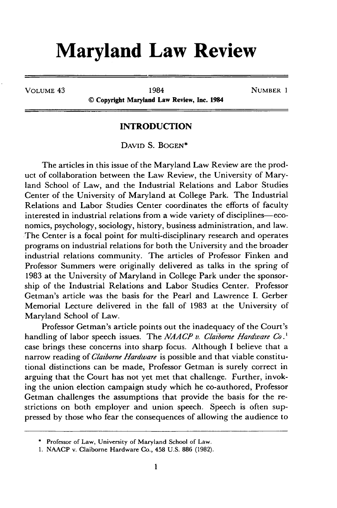# **Maryland Law Review**

VOLUME 43 1984 NUMBER 1

**© Copyright Maryland Law Review, Inc. 1984**

#### **INTRODUCTION**

DAVID S. BOGEN<sup>\*</sup>

The articles in this issue of the Maryland Law Review are the product of collaboration between the Law Review, the University of Maryland School of Law, and the Industrial Relations and Labor Studies Center of the University of Maryland at College Park. The Industrial Relations and Labor Studies Center coordinates the efforts of faculty interested in industrial relations from a wide variety of disciplines-economics, psychology, sociology, history, business administration, and law. The Center is a focal point for multi-disciplinary research and operates programs on industrial relations for both the University and the broader industrial relations community. The articles of Professor Finken and Professor Summers were originally delivered as talks in the spring of **1983** at the University of Maryland in College Park under the sponsorship of the Industrial Relations and Labor Studies Center. Professor Getman's article was the basis for the Pearl and Lawrence I. Gerber Memorial Lecture delivered in the fall of **1983** at the University of Maryland School of Law.

Professor Getman's article points out the inadequacy of the Court's handling of labor speech issues. The *NAACP v. Claiborne Hardware Co.'* case brings these concerns into sharp focus. Although I believe that a narrow reading of *Clatborne Hardware* is possible and that viable constitutional distinctions can be made, Professor Getman is surely correct in arguing that the Court has not yet met that challenge. Further, invoking the union election campaign study which he co-authored, Professor Getman challenges the assumptions that provide the basis for the restrictions on both employer and union speech. Speech is often suppressed by those who fear the consequences of allowing the audience to

<sup>\*</sup> Professor of Law, University of Maryland School of Law.

**<sup>1.</sup>** NAACP v. Claiborne Hardware Co., 458 U.S. 886 (1982).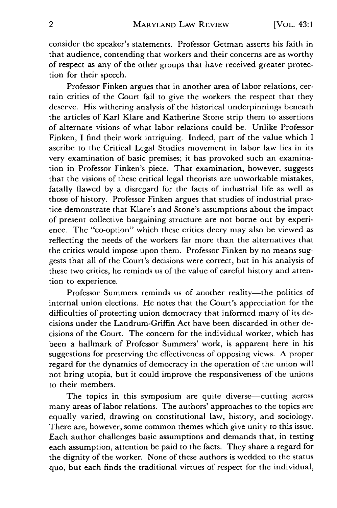consider the speaker's statements. Professor Getman asserts his faith in that audience, contending that workers and their concerns are as worthy of respect as any of the other groups that have received greater protection for their speech.

Professor Finken argues that in another area of labor relations, certain critics of the Court fail to give the workers the respect that they deserve. His withering analysis of the historical underpinnings beneath the articles of Karl Klare and Katherine Stone strip them to assertions of alternate visions of what labor relations could be. Unlike Professor Finken, I find their work intriguing. Indeed, part of the value which I ascribe to the Critical Legal Studies movement in labor law lies in its very examination of basic premises; it has provoked such an examination in Professor Finken's piece. That examination, however, suggests that the visions of these critical legal theorists are unworkable mistakes, fatally flawed by a disregard for the facts of industrial life as well as those of history. Professor Finken argues that studies of industrial practice demonstrate that Klare's and Stone's assumptions about the impact of present collective bargaining structure are not borne out by experience. The "co-option" which these critics decry may also be viewed as reflecting the needs of the workers far more than the alternatives that the critics would impose upon them. Professor Finken by no means suggests that all of the Court's decisions were correct, but in his analysis of these two critics, he reminds us of the value of careful history and attention to experience.

Professor Summers reminds us of another reality-the politics of internal union elections. He notes that the Court's appreciation for the difficulties of protecting union democracy that informed many of its decisions under the Landrum-Griffin Act have been discarded in other decisions of the Court. The concern for the individual worker, which has been a hallmark of Professor Summers' work, is apparent here in his suggestions for preserving the effectiveness of opposing views. A proper regard for the dynamics of democracy in the operation of the union will not bring utopia, but it could improve the responsiveness of the unions to their members.

The topics in this symposium are quite diverse-cutting across many areas of labor relations. The authors' approaches to the topics are equally varied, drawing on constitutional law, history, and sociology. There are, however, some common themes which give unity to this issue. Each author challenges basic assumptions and demands that, in testing each assumption, attention be paid to the facts. They share a regard for the dignity of the worker. None of these authors is wedded to the status quo, but each finds the traditional virtues of respect for the individual,